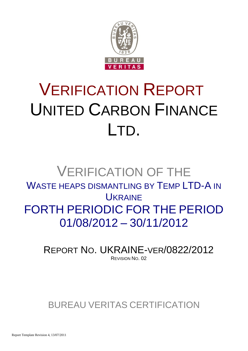

# VERIFICATION REPORT UNITED CARBON FINANCE LTD.

## VERIFICATION OF THE WASTE HEAPS DISMANTLING BY TEMP LTD-A IN **UKRAINE** FORTH PERIODIC FOR THE PERIOD 01/08/2012 – 30/11/2012

REPORT NO. UKRAINE-VER/0822/2012 REVISION NO. 02

## BUREAU VERITAS CERTIFICATION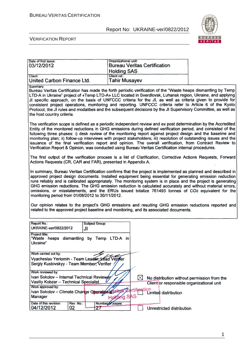ate of first issue: **Department of the Contract of Security Contract of Security Contract of the Contract Organizational unit:** 

#### Report No: UKRAINE-ver/0822/2012



#### VERIFICATION REPORT

| 03/12/2012                                                                                                                                                                                                                                                                                                                                                                                                                                                                                                                                                                                                                                                                                                                                                                                                           | <b>Bureau Veritas Certification</b><br><b>Holding SAS</b> |                                                                                                                  |  |
|----------------------------------------------------------------------------------------------------------------------------------------------------------------------------------------------------------------------------------------------------------------------------------------------------------------------------------------------------------------------------------------------------------------------------------------------------------------------------------------------------------------------------------------------------------------------------------------------------------------------------------------------------------------------------------------------------------------------------------------------------------------------------------------------------------------------|-----------------------------------------------------------|------------------------------------------------------------------------------------------------------------------|--|
| Client:<br>United Carbon Finance Ltd.                                                                                                                                                                                                                                                                                                                                                                                                                                                                                                                                                                                                                                                                                                                                                                                | Client ref.:<br>Tahir Musayev                             |                                                                                                                  |  |
| Summary:<br>Bureau Veritas Certification has made the forth periodic verification of the "Waste heaps dismantling by Temp<br>LTD-A in Ukraine" project of «Temp LTD-A» LLC located in Sverdlovsk, Luhansk region, Ukraine, and applying<br>JI specific approach, on the basis of UNFCCC criteria for the JI, as well as criteria given to provide for<br>consistent project operations, monitoring and reporting. UNFCCC criteria refer to Article 6 of the Kyoto<br>Protocol, the JI rules and modalities and the subsequent decisions by the JI Supervisory Committee, as well as<br>the host country criteria.                                                                                                                                                                                                    |                                                           |                                                                                                                  |  |
| The verification scope is defined as a periodic independent review and ex post determination by the Accredited<br>Entity of the monitored reductions in GHG emissions during defined verification period, and consisted of the<br>following three phases: i) desk review of the monitoring report against project design and the baseline and<br>monitoring plan; ii) follow-up interviews with project stakeholders; iii) resolution of outstanding issues and the<br>issuance of the final verification report and opinion. The overall verification, from Contract Review to<br>Verification Report & Opinion, was conducted using Bureau Veritas Certification internal procedures.                                                                                                                              |                                                           |                                                                                                                  |  |
| The first output of the verification process is a list of Clarification, Corrective Actions Requests, Forward<br>Actions Requests (CR, CAR and FAR), presented in Appendix A.                                                                                                                                                                                                                                                                                                                                                                                                                                                                                                                                                                                                                                        |                                                           |                                                                                                                  |  |
| In summary, Bureau Veritas Certification confirms that the project is implemented as planned and described in<br>approved project design documents. Installed equipment being essential for generating emission reduction<br>runs reliably and is calibrated appropriately. The monitoring system is in place and the project is generating<br>GHG emission reductions. The GHG emission reduction is calculated accurately and without material errors,<br>omissions, or misstatements, and the ERUs issued totalize 761493 tonnes of CO2 equivalent for the<br>monitoring period from 01/08/2012 to 30/11/2012.<br>Our opinion relates to the project's GHG emissions and resulting GHG emission reductions reported and<br>related to the approved project baseline and monitoring, and its associated documents. |                                                           |                                                                                                                  |  |
| Report No.:<br><b>Subject Group:</b><br>UKRAINE-ver/0822/2012<br>JI<br>Project title:                                                                                                                                                                                                                                                                                                                                                                                                                                                                                                                                                                                                                                                                                                                                |                                                           |                                                                                                                  |  |
| "Waste heaps dismantling by Temp LTD-A in<br>Ukraine"                                                                                                                                                                                                                                                                                                                                                                                                                                                                                                                                                                                                                                                                                                                                                                |                                                           |                                                                                                                  |  |
| Work carried out by:<br>Vyacheslav Yeriomin - Team Leader, Lead Veriner<br>Sergiy Kustovskyy - Team Member, Verifier                                                                                                                                                                                                                                                                                                                                                                                                                                                                                                                                                                                                                                                                                                 |                                                           |                                                                                                                  |  |
| Work reviewed by:<br>Ivan Sokolov - Internal Technical Reviewer<br>Vasiliy Kobzar - Technical Specialist<br>Work approved by:<br>Ivan Sokolov - Climate Change Operationale<br>Manager                                                                                                                                                                                                                                                                                                                                                                                                                                                                                                                                                                                                                               | $\bowtie$<br>ertifi <del>ca</del> tion<br>ng SAS          | No distribution without permission from the<br>Client or responsible organizational unit<br>Limited distribution |  |
| Date of this revision:<br>Rev. No.:<br>04/12/2012<br>02<br>27                                                                                                                                                                                                                                                                                                                                                                                                                                                                                                                                                                                                                                                                                                                                                        | Number of pages:                                          | Unrestricted distribution                                                                                        |  |

1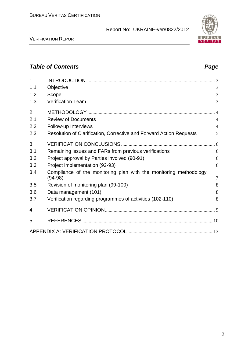VERIFICATION REPORT

| 1<br>1.1       | Objective                                                                      | 3              |
|----------------|--------------------------------------------------------------------------------|----------------|
| 1.2            | Scope                                                                          | 3              |
| 1.3            | <b>Verification Team</b>                                                       | 3              |
| $\overline{2}$ |                                                                                | .4             |
| 2.1            | <b>Review of Documents</b>                                                     | $\overline{4}$ |
| 2.2            | Follow-up Interviews                                                           | $\overline{4}$ |
| 2.3            | Resolution of Clarification, Corrective and Forward Action Requests            | 5              |
| 3              |                                                                                |                |
| 3.1            | Remaining issues and FARs from previous verifications                          | 6              |
| 3.2            | Project approval by Parties involved (90-91)                                   | 6              |
| 3.3            | Project implementation (92-93)                                                 | 6              |
| 3.4            | Compliance of the monitoring plan with the monitoring methodology<br>$(94-98)$ | $\overline{7}$ |
| 3.5            | Revision of monitoring plan (99-100)                                           | 8              |
| 3.6            | Data management (101)                                                          | 8              |
| 3.7            | Verification regarding programmes of activities (102-110)                      | 8              |
| 4              |                                                                                |                |
| 5              |                                                                                |                |
|                |                                                                                |                |
|                |                                                                                |                |

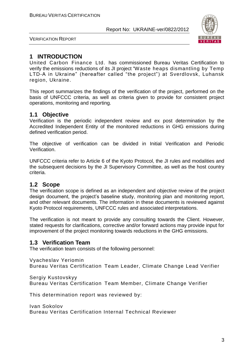

VERIFICATION REPORT

#### **1 INTRODUCTION**

United Carbon Finance Ltd. has commissioned Bureau Veritas Certification to verify the emissions reductions of its JI project "Waste heaps dismantling by Temp LTD-A in Ukraine" (hereafter called "the project") at Sverdlovsk, Luhansk region, Ukraine.

This report summarizes the findings of the verification of the project, performed on the basis of UNFCCC criteria, as well as criteria given to provide for consistent project operations, monitoring and reporting.

#### **1.1 Objective**

Verification is the periodic independent review and ex post determination by the Accredited Independent Entity of the monitored reductions in GHG emissions during defined verification period.

The objective of verification can be divided in Initial Verification and Periodic Verification.

UNFCCC criteria refer to Article 6 of the Kyoto Protocol, the JI rules and modalities and the subsequent decisions by the JI Supervisory Committee, as well as the host country criteria.

#### **1.2 Scope**

The verification scope is defined as an independent and objective review of the project design document, the project's baseline study, monitoring plan and monitoring report, and other relevant documents. The information in these documents is reviewed against Kyoto Protocol requirements, UNFCCC rules and associated interpretations.

The verification is not meant to provide any consulting towards the Client. However, stated requests for clarifications, corrective and/or forward actions may provide input for improvement of the project monitoring towards reductions in the GHG emissions.

#### **1.3 Verification Team**

The verification team consists of the following personnel:

Vyacheslav Yeriomin

Bureau Veritas Certification Team Leader, Climate Change Lead Verifier

Sergiy Kustovskyy

Bureau Veritas Certification Team Member, Climate Change Verifier

This determination report was reviewed by:

Ivan Sokolov Bureau Veritas Certification Internal Technical Reviewer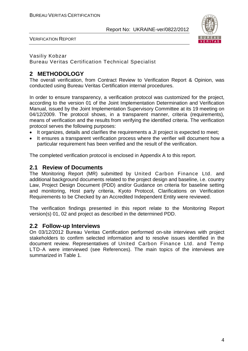

VERIFICATION REPORT

#### Vasiliy Kobzar Bureau Veritas Certification Technical Specialist

#### **2 METHODOLOGY**

The overall verification, from Contract Review to Verification Report & Opinion, was conducted using Bureau Veritas Certification internal procedures.

In order to ensure transparency, a verification protocol was customized for the project, according to the version 01 of the Joint Implementation Determination and Verification Manual, issued by the Joint Implementation Supervisory Committee at its 19 meeting on 04/12/2009. The protocol shows, in a transparent manner, criteria (requirements), means of verification and the results from verifying the identified criteria. The verification protocol serves the following purposes:

- It organizes, details and clarifies the requirements a JI project is expected to meet;
- It ensures a transparent verification process where the verifier will document how a particular requirement has been verified and the result of the verification.

The completed verification protocol is enclosed in Appendix A to this report.

#### **2.1 Review of Documents**

The Monitoring Report (MR) submitted by United Carbon Finance Ltd. and additional background documents related to the project design and baseline, i.e. country Law, Project Design Document (PDD) and/or Guidance on criteria for baseline setting and monitoring, Host party criteria, Kyoto Protocol, Clarifications on Verification Requirements to be Checked by an Accredited Independent Entity were reviewed.

The verification findings presented in this report relate to the Monitoring Report version(s) 01, 02 and project as described in the determined PDD.

#### **2.2 Follow-up Interviews**

On 03/12/2012 Bureau Veritas Certification performed on-site interviews with project stakeholders to confirm selected information and to resolve issues identified in the document review. Representatives of United Carbon Finance Ltd. and Temp LTD-A were interviewed (see References). The main topics of the interviews are summarized in Table 1.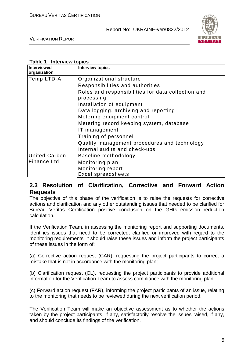

VERIFICATION REPORT

#### **Table 1 Interview topics**

| Interviewed<br>organization | <b>Interview topics</b>                                          |
|-----------------------------|------------------------------------------------------------------|
| Temp LTD-A                  | Organizational structure                                         |
|                             | Responsibilities and authorities                                 |
|                             | Roles and responsibilities for data collection and<br>processing |
|                             | Installation of equipment                                        |
|                             | Data logging, archiving and reporting                            |
|                             | Metering equipment control                                       |
|                             | Metering record keeping system, database                         |
|                             | IT management                                                    |
|                             | Training of personnel                                            |
|                             | Quality management procedures and technology                     |
|                             | Internal audits and check-ups                                    |
| <b>United Carbon</b>        | Baseline methodology                                             |
| Finance Ltd.                | Monitoring plan                                                  |
|                             | Monitoring report                                                |
|                             | <b>Excel spreadsheets</b>                                        |

#### **2.3 Resolution of Clarification, Corrective and Forward Action Requests**

The objective of this phase of the verification is to raise the requests for corrective actions and clarification and any other outstanding issues that needed to be clarified for Bureau Veritas Certification positive conclusion on the GHG emission reduction calculation.

If the Verification Team, in assessing the monitoring report and supporting documents, identifies issues that need to be corrected, clarified or improved with regard to the monitoring requirements, it should raise these issues and inform the project participants of these issues in the form of:

(a) Corrective action request (CAR), requesting the project participants to correct a mistake that is not in accordance with the monitoring plan;

(b) Clarification request (CL), requesting the project participants to provide additional information for the Verification Team to assess compliance with the monitoring plan;

(c) Forward action request (FAR), informing the project participants of an issue, relating to the monitoring that needs to be reviewed during the next verification period.

The Verification Team will make an objective assessment as to whether the actions taken by the project participants, if any, satisfactorily resolve the issues raised, if any, and should conclude its findings of the verification.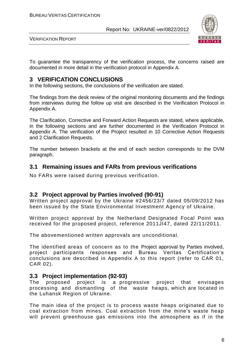

VERIFICATION REPORT

To guarantee the transparency of the verification process, the concerns raised are documented in more detail in the verification protocol in Appendix A.

#### **3 VERIFICATION CONCLUSIONS**

In the following sections, the conclusions of the verification are stated.

The findings from the desk review of the original monitoring documents and the findings from interviews during the follow up visit are described in the Verification Protocol in Appendix A.

The Clarification, Corrective and Forward Action Requests are stated, where applicable, in the following sections and are further documented in the Verification Protocol in Appendix A. The verification of the Project resulted in 10 Corrective Action Requests and 2 Clarification Requests.

The number between brackets at the end of each section corresponds to the DVM paragraph.

#### **3.1 Remaining issues and FARs from previous verifications**

No FARs were raised during previous verification.

#### **3.2 Project approval by Parties involved (90-91)**

Written project approval by the Ukraine #2456/23/7 dated 05/09/2012 has been issued by the State Environmental Investment Agency of Ukraine.

Written project approval by the Netherland Designated Focal Point was received for the proposed project, reference 2011JI47, dated 22/11/2011.

The abovementioned written approvals are unconditional.

The identified areas of concern as to the Project approval by Parties involved, project participants responses and Bureau Veritas Certification's conclusions are described in Appendix A to this report (refer to CAR 01, CAR 02).

#### **3.3 Project implementation (92-93)**

The proposed project is a progressive project that envisages processing and dismantling of the waste heaps, which are located in the Luhansk Region of Ukraine.

The main idea of the project is to process waste heaps originated due to coal extraction from mines. Coal extraction from the mine's waste heap will prevent greenhouse gas emissions into the atmosphere as if in the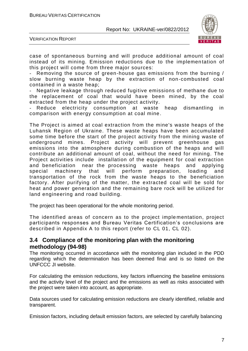

VERIFICATION REPORT

case of spontaneous burning and will produce additional amount of coal instead of its mining. Emission reductions due to the implemen tation of this project will come from three major sources:

Removing the source of green-house gas emissions from the burning / slow burning waste heap by the extraction of non -combusted coal contained in a waste heap;

Negative leakage through reduced fugitive emissions of methane due to the replacement of coal that would have been mined, by the coal extracted from the heap under the project activity.

Reduce electricity consumption at waste heap dismantling in comparison with energy consumption at coal mine.

The Project is aimed at coal extraction from the mine's waste heaps of the Luhansk Region of Ukraine. These waste heaps have been accumulated some time before the start of the project activity from the mining waste of underground mines. Project activity will prevent greenhouse gas emissions into the atmosphere during combustion of the heaps and will contribute an additional amount of coal, without the need for mining. The Project activities include installation of the equipment for coal extraction and beneficiation near the processing waste heaps and applying special machinery that will perform preparation, loading and transportation of the rock from the waste heaps to the beneficiation factory. After purifying of the matter, the extracted coal will be sold for heat and power generation and the remaining bare rock will be utilized for land engineering and road building.

The project has been operational for the whole monitoring period.

The identified areas of concern as to the project imple mentation, project participants responses and Bureau Veritas Certification's conclusions are described in Appendix A to this report (refer to CL 01, CL 02).

#### **3.4 Compliance of the monitoring plan with the monitoring methodology (94-98)**

The monitoring occurred in accordance with the monitoring plan included in the PDD regarding which the determination has been deemed final and is so listed on the UNFCCC JI website.

For calculating the emission reductions, key factors influencing the baseline emissions and the activity level of the project and the emissions as well as risks associated with the project were taken into account, as appropriate.

Data sources used for calculating emission reductions are clearly identified, reliable and transparent.

Emission factors, including default emission factors, are selected by carefully balancing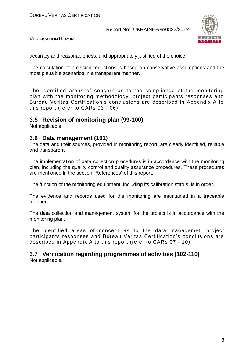

VERIFICATION REPORT

accuracy and reasonableness, and appropriately justified of the choice.

The calculation of emission reductions is based on conservative assumptions and the most plausible scenarios in a transparent manner.

The identified areas of concern as to the compliance of the monitoring plan with the monitoring methodology, project participants responses and Bureau Veritas Certification's conclusions are described in Appendix A to this report (refer to CARs 03 - 06).

#### **3.5 Revision of monitoring plan (99-100)**

Not applicable

#### **3.6 Data management (101)**

The data and their sources, provided in monitoring report, are clearly identified, reliable and transparent.

The implementation of data collection procedures is in accordance with the monitoring plan, including the quality control and quality assurance procedures. These procedures are mentioned in the section "References" of this report.

The function of the monitoring equipment, including its calibration status, is in order.

The evidence and records used for the monitoring are maintained in a traceable manner.

The data collection and management system for the project is in accordance with the monitoring plan.

The identified areas of concern as to the data managemet, project participants responses and Bureau Veritas Certification's conclusions are described in Appendix A to this report (refer to CARs 07 - 10).

### **3.7 Verification regarding programmes of activities (102-110)**

Not applicable.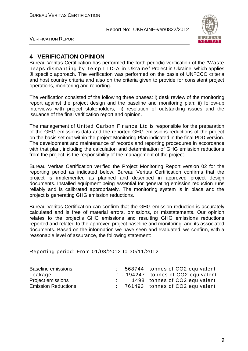

VERIFICATION REPORT

#### **4 VERIFICATION OPINION**

Bureau Veritas Certification has performed the forth periodic verification of the "Waste heaps dismantling by Temp LTD-A in Ukraine" Project in Ukraine, which applies JI specific approach. The verification was performed on the basis of UNFCCC criteria and host country criteria and also on the criteria given to provide for consistent project operations, monitoring and reporting.

The verification consisted of the following three phases: i) desk review of the monitoring report against the project design and the baseline and monitoring plan; ii) follow-up interviews with project stakeholders; iii) resolution of outstanding issues and the issuance of the final verification report and opinion.

The management of United Carbon Finance Ltd is responsible for the preparation of the GHG emissions data and the reported GHG emissions reductions of the project on the basis set out within the project Monitoring Plan indicated in the final PDD version. The development and maintenance of records and reporting procedures in accordance with that plan, including the calculation and determination of GHG emission reductions from the project, is the responsibility of the management of the project.

Bureau Veritas Certification verified the Project Monitoring Report version 02 for the reporting period as indicated below. Bureau Veritas Certification confirms that the project is implemented as planned and described in approved project design documents. Installed equipment being essential for generating emission reduction runs reliably and is calibrated appropriately. The monitoring system is in place and the project is generating GHG emission reductions.

Bureau Veritas Certification can confirm that the GHG emission reduction is accurately calculated and is free of material errors, omissions, or misstatements. Our opinion relates to the project's GHG emissions and resulting GHG emissions reductions reported and related to the approved project baseline and monitoring, and its associated documents. Based on the information we have seen and evaluated, we confirm, with a reasonable level of assurance, the following statement:

Reporting period: From 01/08/2012 to 30/11/2012

| <b>Baseline emissions</b>  |  | 568744 tonnes of CO2 equivalent   |
|----------------------------|--|-----------------------------------|
| Leakage                    |  | - 194247 tonnes of CO2 equivalent |
| <b>Project emissions</b>   |  | 1498 tonnes of CO2 equivalent     |
| <b>Emission Reductions</b> |  | : 761493 tonnes of CO2 equivalent |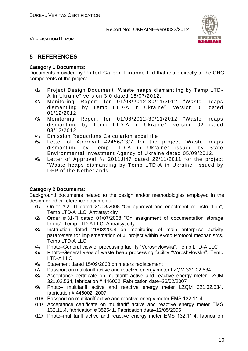

VERIFICATION REPORT

#### **5 REFERENCES**

#### **Category 1 Documents:**

Documents provided by United Carbon Finance Ltd that relate directly to the GHG components of the project.

- /1/ Project Design Document "Waste heaps dismantling by Temp LTD-A in Ukraine" version 3.0 dated 18/07/2012.
- /2/ Monitoring Report for 01/08/2012-30/11/2012 "Waste heaps dismantling by Temp LTD-A in Ukraine", version 01 dated 01/12/2012.
- /3/ Monitoring Report for 01/08/2012-30/11/2012 "Waste heaps dismantling by Temp LTD-A in Ukraine", version 02 dated 03/12/2012.
- /4/ Emission Reductions Calculation excel file
- /5/ Letter of Approval #2456/23/7 for the project "Waste heaps dismantling by Temp LTD-A in Ukraine" issued by State Environmental Investment Agency of Ukraine dated 05/09/2012.
- /6/ Letter of Approval № 2011JI47 dated 22/11/2011 for the project "Waste heaps dismantling by Temp LTD-A in Ukraine" issued by DFP of the Netherlands.

#### **Category 2 Documents:**

Background documents related to the design and/or methodologies employed in the design or other reference documents.

- /1/ Order # 21-П dated 21/03/2008 "On approval and enactment of instruction", Temp LTD-A LLC, Antratsyt city
- /2/ Order # 31-П dated 01/07/2008 "On assignment of documentation storage terms", Temp LTD-A LLC, Antratsyt city
- /3/ Instruction dated 21/03/2008 on monitoring of main enterprise activity parameters for implementation of JI project within Kyoto Protocol mechanisms, Temp LTD-A LLC
- /4/ Photo–General view of processing facility "Voroshylovska", Temp LTD-A LLC
- /5/ Photo–General view of waste heap processing facility "Voroshylovska", Temp LTD-A LLC
- /6/ Statement dated 15/09/2008 on meters replacement
- /7/ Passport on multitariff active and reactive energy meter LZQM 321.02.534
- /8/ Acceptance certificate on multitariff active and reactive energy meter LZQM 321.02.534, fabrication # 446002. Fabrication date–26/02/2007
- /9/ Photo– multitariff active and reactive energy meter LZQM 321.02.534, fabrication # 446002, 2007
- /10/ Passport on multitariff active and reactive energy meter ЕМS 132.11.4
- /11/ Acceptance certificate on multitariff active and reactive energy meter ЕМS 132.11.4, fabrication # 352641. Fabrication date–12/05/2006
- /12/ Photo–multitariff active and reactive energy meter ЕМS 132.11.4, fabrication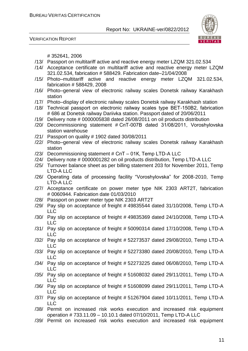VERIFICATION REPORT



# 352641, 2006

- /13/ Passport on multitariff active and reactive energy meter LZQM 321.02.534
- /14/ Acceptance certificate on multitariff active and reactive energy meter LZQM 321.02.534, fabrication # 588429. Fabrication date–21/04/2008
- /15/ Photo–multitariff active and reactive energy meter LZQM 321.02.534, fabrication # 588429, 2008
- /16/ Photo–general view of electronic railway scales Donetsk railway Karakhash station
- /17/ Photo–display of electronic railway scales Donetsk railway Karakhash station
- /18/ Technical passport on electronic railway scales type ВЕТ-150В2, fabrication # 686 at Donetsk railway Dariivka station. Passport dated of 20/06/2011
- /19/ Delivery note # 0000005838 dated 26/08/2011 on oil products distribution
- /20/ Decommissioning statement # СпТ-007В dated 31/08/2011, Voroshylovska station warehouse
- /21/ Passport on quality # 1902 dated 30/08/2011
- /22/ Photo–general view of electronic railway scales Donetsk railway Karakhash station
- /23/ Decommissioning statement # СпТ 01К, Temp LTD-A LLC
- /24/ Delivery note # 0000001282 on oil products distribution, Temp LTD-A LLC
- /25/ Turnover balance sheet as per billing statement 203 for November 2011, Temp LTD-A LLC
- /26/ Operating data of processing facility "Voroshylovska" for 2008-2010, Temp LTD-A LLC
- /27/ Acceptance certificate on power meter type NIK 2303 ART2T, fabrication # 0060944. Fabrication date 01/03/2010
- /28/ Passport on power meter type NIK 2303 ART2T
- /29/ Pay slip on acceptance of freight # 49835544 dated 31/10/2008, Temp LTD-A LLC
- /30/ Pay slip on acceptance of freight # 49835369 dated 24/10/2008, Temp LTD-A LLC
- /31/ Pay slip on acceptance of freight # 50090314 dated 17/10/2008, Temp LTD-A LLC
- /32/ Pay slip on acceptance of freight # 52273537 dated 29/08/2010, Temp LTD-A LLC
- /33/ Pay slip on acceptance of freight # 52273380 dated 20/08/2010, Temp LTD-A LLC
- /34/ Pay slip on acceptance of freight # 52273225 dated 06/08/2010, Temp LTD-A LLC
- /35/ Pay slip on acceptance of freight # 51608032 dated 29/11/2011, Temp LTD-A LLC
- /36/ Pay slip on acceptance of freight # 51608099 dated 29/11/2011, Temp LTD-A LLC
- /37/ Pay slip on acceptance of freight # 51267904 dated 10/11/2011, Temp LTD-A LLC
- /38/ Permit on increased risk works execution and increased risk equipment operation # 733.11.09 – 10.10.1 dated 07/10/2011, Temp LTD-A LLC
- /39/ Permit on increased risk works execution and increased risk equipment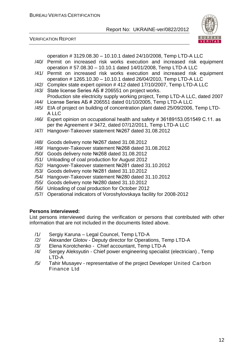



operation # 3129.08.30 – 10.10.1 dated 24/10/2008, Temp LTD-A LLC

- /40/ Permit on increased risk works execution and increased risk equipment operation # 57.08.30 – 10.10.1 dated 14/01/2008, Temp LTD-A LLC
- /41/ Permit on increased risk works execution and increased risk equipment operation # 1265.10.30 – 10.10.1 dated 26/04/2010, Temp LTD-A LLC
- /42/ Complex state expert opinion # 412 dated 17/10/2007, Temp LTD-A LLC
- /43/ State license Series АБ # 206551 on project works. Production site electricity supply working project, Temp LTD-A LLC, dated 2007
- /44/ License Series АБ # 206551 dated 01/10/2005, Temp LTD-A LLC
- /45/ EIA of project on building of concentration plant dated 25/09/2006, Temp LTD-A LLC
- /46/ Expert opinion on occupational health and safety # 36189153.051549 С.11. as per the Agreement # 3472, dated 07/12/2011, Temp LTD-A LLC
- /47/ Hangover-Takeover statement №267 dated 31.08.2012
- /48/ Goods delivery note №267 dated 31.08.2012
- /49/ Hangover-Takeover statement №268 dated 31.08.2012
- /50/ Goods delivery note №268 dated 31.08.2012
- /51/ Unloading of coal production for August 2012
- /52/ Hangover-Takeover statement №281 dated 31.10.2012
- /53/ \Goods delivery note №281 dated 31.10.2012
- /54/ Hangover-Takeover statement №280 dated 31.10.2012
- /55/ Goods delivery note №280 dated 31.10.2012
- /56/ Unloading of coal production for October 2012
- /57/ Operational indicators of Voroshylovskaya facility for 2008-2012

#### **Persons interviewed:**

List persons interviewed during the verification or persons that contributed with other information that are not included in the documents listed above.

- /1/ Sergiy Karuna Legal Councel, Temp LTD-A
- /2/ Alexander Glotov Deputy director for Operations, Temp LTD-A
- /3/ Elena Korotchenko Chief accountant, Temp LTD-A
- /4/ Sergey Aleksyutin Chief power engineering specialist (electrician) , Temp LTD-A
- /5/ Tahir Musayev representative of the project Developer United Carbon Finance Ltd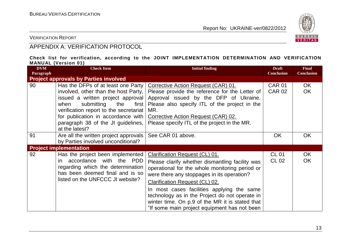

VERIFICATION REPORT

### APPENDIX A: VERIFICATION PROTOCOL

#### **Check list for verification, according to the JOINT IMPLEMENTATION DETERMINATION AND VERIFICATION MANUAL (Version 01)**

| <b>DVM</b><br>Paragraph | <b>Check Item</b>                                                                                                                                                                                                                                                                               | <b>Initial finding</b>                                                                                                                                                                                                                                                                                                                                                                                                        | <b>Draft</b><br><b>Conclusion</b> | <b>Final</b><br><b>Conclusion</b> |
|-------------------------|-------------------------------------------------------------------------------------------------------------------------------------------------------------------------------------------------------------------------------------------------------------------------------------------------|-------------------------------------------------------------------------------------------------------------------------------------------------------------------------------------------------------------------------------------------------------------------------------------------------------------------------------------------------------------------------------------------------------------------------------|-----------------------------------|-----------------------------------|
|                         | <b>Project approvals by Parties involved</b>                                                                                                                                                                                                                                                    |                                                                                                                                                                                                                                                                                                                                                                                                                               |                                   |                                   |
| 90                      | Has the DFPs of at least one Party<br>involved, other than the host Party,<br>issued a written project approval<br>submitting<br>when<br>the<br>first  <br>verification report to the secretariat<br>for publication in accordance with<br>paragraph 38 of the JI guidelines,<br>at the latest? | Corrective Action Request (CAR) 01.<br>Please provide the reference for the Letter of<br>Approval issued by the DFP of Ukraine.<br>Please also specify ITL of the project in the<br>MR.<br>Corrective Action Request (CAR) 02.<br>Please specify ITL of the project in the MR.                                                                                                                                                | <b>CAR 01</b><br><b>CAR 02</b>    | OK.<br><b>OK</b>                  |
| 91                      | Are all the written project approvals<br>by Parties involved unconditional?                                                                                                                                                                                                                     | See CAR 01 above.                                                                                                                                                                                                                                                                                                                                                                                                             | <b>OK</b>                         | <b>OK</b>                         |
|                         | <b>Project implementation</b>                                                                                                                                                                                                                                                                   |                                                                                                                                                                                                                                                                                                                                                                                                                               |                                   |                                   |
| 92                      | Has the project been implemented<br>accordance with the PDD<br>in.<br>regarding which the determination<br>has been deemed final and is so<br>listed on the UNFCCC JI website?                                                                                                                  | Clarification Request (CL) 01.<br>Please clarify whether dismantling facility was<br>operational for the whole monitoring period or<br>were there any stoppages in its operation?<br><b>Clarification Request (CL) 02.</b><br>In most cases facilities applying the same<br>technology as in the Project do not operate in<br>winter time. On p.9 of the MR it is stated that<br>"If some main project equipment has not been | <b>CL 01</b><br>CL 02             | OK<br><b>OK</b>                   |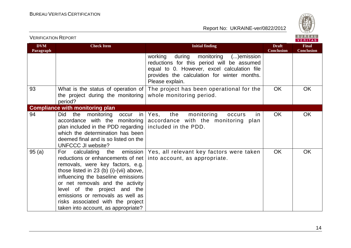

**Final Conclusion**

 $\overline{OK}$ 

 $OK$ 

OK

#### Report No: UKRAINE-ver/0822/2012

| Paragraph |                                                                                                                                                                                                                                                                                                                                              |                                                                                                                                                                                                            | <b>Conclusion</b> |
|-----------|----------------------------------------------------------------------------------------------------------------------------------------------------------------------------------------------------------------------------------------------------------------------------------------------------------------------------------------------|------------------------------------------------------------------------------------------------------------------------------------------------------------------------------------------------------------|-------------------|
|           |                                                                                                                                                                                                                                                                                                                                              | working<br>during<br>monitoring () emission<br>reductions for this period will be assumed<br>equal to 0. However, excel calculation file<br>provides the calculation for winter months.<br>Please explain. |                   |
| 93        | What is the status of operation of<br>the project during the monitoring<br>period?                                                                                                                                                                                                                                                           | The project has been operational for the<br>whole monitoring period.                                                                                                                                       | <b>OK</b>         |
|           | <b>Compliance with monitoring plan</b>                                                                                                                                                                                                                                                                                                       |                                                                                                                                                                                                            |                   |
| 94        | monitoring occur in Yes, the<br>Did<br>the<br>accordance with the monitoring<br>plan included in the PDD regarding<br>which the determination has been<br>deemed final and is so listed on the<br><b>UNFCCC JI website?</b>                                                                                                                  | monitoring<br>in.<br>occurs<br>accordance with the monitoring plan<br>included in the PDD.                                                                                                                 | <b>OK</b>         |
| 95 (a)    | reductions or enhancements of net<br>removals, were key factors, e.g.<br>those listed in $23$ (b) (i)-(vii) above,<br>influencing the baseline emissions<br>or net removals and the activity<br>level of the project and the<br>emissions or removals as well as<br>risks associated with the project<br>taken into account, as appropriate? | For calculating the emission   Yes, all relevant key factors were taken<br>into account, as appropriate.                                                                                                   | <b>OK</b>         |

**Initial finding Initial finding Initial finding Draft Draft** 

**DVM**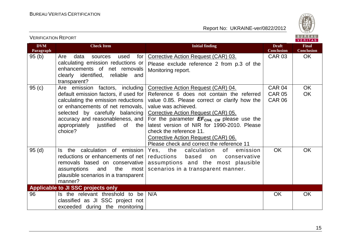

| <b>DVM</b><br>Paragraph | <b>Check Item</b>                                                  | <b>Initial finding</b>                                                           | <b>Draft</b><br><b>Conclusion</b> | <b>Final</b><br><b>Conclusion</b> |
|-------------------------|--------------------------------------------------------------------|----------------------------------------------------------------------------------|-----------------------------------|-----------------------------------|
| 95(b)                   | for<br>Are<br>data<br>used<br>sources                              | Corrective Action Request (CAR) 03.                                              | <b>CAR 03</b>                     | <b>OK</b>                         |
|                         | calculating emission reductions or<br>enhancements of net removals | Please exclude reference 2 from p.3 of the<br>Monitoring report.                 |                                   |                                   |
|                         | clearly identified, reliable<br>and                                |                                                                                  |                                   |                                   |
|                         | transparent?                                                       |                                                                                  |                                   |                                   |
| 95(c)                   | Are emission factors, including                                    | Corrective Action Request (CAR) 04.                                              | CAR 04                            | <b>OK</b>                         |
|                         | default emission factors, if used for                              | Reference 6 does not contain the referred                                        | <b>CAR 05</b>                     | <b>OK</b>                         |
|                         | calculating the emission reductions                                | value 0.85. Please correct or clarify how the                                    | <b>CAR 06</b>                     |                                   |
|                         | or enhancements of net removals,                                   | value was achieved.                                                              |                                   |                                   |
|                         | selected by carefully balancing                                    | Corrective Action Request (CAR) 05.                                              |                                   |                                   |
|                         | accuracy and reasonableness, and                                   | For the parameter $EF_{CH4, CM}$ please use the                                  |                                   |                                   |
|                         | appropriately justified<br>of<br>the                               | latest version of NIR for 1990-2010. Please                                      |                                   |                                   |
|                         | choice?                                                            | check the reference 11.                                                          |                                   |                                   |
|                         |                                                                    | Corrective Action Request (CAR) 06.<br>Please check and correct the reference 11 |                                   |                                   |
| 95(d)                   | the calculation of emission<br>ls.                                 | Yes, the<br>calculation<br>of<br>emission                                        | <b>OK</b>                         | OK                                |
|                         | reductions or enhancements of net                                  | reductions<br>based<br>on<br>conservative                                        |                                   |                                   |
|                         | removals based on conservative                                     | assumptions and the most plausible                                               |                                   |                                   |
|                         | the<br>assumptions<br>and<br>most                                  | scenarios in a transparent manner.                                               |                                   |                                   |
|                         | plausible scenarios in a transparent                               |                                                                                  |                                   |                                   |
|                         | manner?                                                            |                                                                                  |                                   |                                   |
|                         | Applicable to JI SSC projects only                                 |                                                                                  |                                   |                                   |
| 96                      | Is the relevant threshold to be                                    | N/A                                                                              | <b>OK</b>                         | OK                                |
|                         | classified as JI SSC project not                                   |                                                                                  |                                   |                                   |
|                         | exceeded during the monitoring                                     |                                                                                  |                                   |                                   |

VERIFICATION REPORT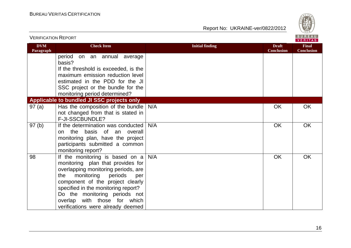



| VERIFICATION INEPURT    |                                                                                                                                                                                                                                                                                                                                     |                        |                                   | <b>VERITAS</b>                    |
|-------------------------|-------------------------------------------------------------------------------------------------------------------------------------------------------------------------------------------------------------------------------------------------------------------------------------------------------------------------------------|------------------------|-----------------------------------|-----------------------------------|
| <b>DVM</b><br>Paragraph | <b>Check Item</b>                                                                                                                                                                                                                                                                                                                   | <b>Initial finding</b> | <b>Draft</b><br><b>Conclusion</b> | <b>Final</b><br><b>Conclusion</b> |
|                         | period<br>on an annual average<br>basis?                                                                                                                                                                                                                                                                                            |                        |                                   |                                   |
|                         | If the threshold is exceeded, is the<br>maximum emission reduction level                                                                                                                                                                                                                                                            |                        |                                   |                                   |
|                         | estimated in the PDD for the JI                                                                                                                                                                                                                                                                                                     |                        |                                   |                                   |
|                         | SSC project or the bundle for the<br>monitoring period determined?                                                                                                                                                                                                                                                                  |                        |                                   |                                   |
|                         | Applicable to bundled JI SSC projects only                                                                                                                                                                                                                                                                                          |                        |                                   |                                   |
| 97(a)                   | Has the composition of the bundle<br>not changed from that is stated in<br>F-JI-SSCBUNDLE?                                                                                                                                                                                                                                          | N/A                    | <b>OK</b>                         | <b>OK</b>                         |
| 97(b)                   | If the determination was conducted<br>on the<br>basis of an<br>overall<br>monitoring plan, have the project<br>participants submitted a common<br>monitoring report?                                                                                                                                                                | N/A                    | <b>OK</b>                         | <b>OK</b>                         |
| 98                      | If the monitoring is based on a<br>monitoring plan that provides for<br>overlapping monitoring periods, are<br>monitoring<br>periods<br>the<br>per<br>component of the project clearly<br>specified in the monitoring report?<br>Do the monitoring periods not<br>overlap with those for which<br>verifications were already deemed | N/A                    | <b>OK</b>                         | <b>OK</b>                         |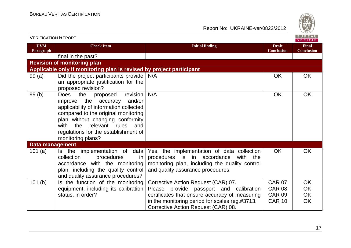

| VENIFIUATIUN INEFUNT    |                                                                                                                                                                                                                                                                                                           |                                                                                                                                                                                 |                                   | VERITAS                           |
|-------------------------|-----------------------------------------------------------------------------------------------------------------------------------------------------------------------------------------------------------------------------------------------------------------------------------------------------------|---------------------------------------------------------------------------------------------------------------------------------------------------------------------------------|-----------------------------------|-----------------------------------|
| <b>DVM</b><br>Paragraph | <b>Check Item</b>                                                                                                                                                                                                                                                                                         | <b>Initial finding</b>                                                                                                                                                          | <b>Draft</b><br><b>Conclusion</b> | <b>Final</b><br><b>Conclusion</b> |
|                         | final in the past?                                                                                                                                                                                                                                                                                        |                                                                                                                                                                                 |                                   |                                   |
|                         | <b>Revision of monitoring plan</b>                                                                                                                                                                                                                                                                        |                                                                                                                                                                                 |                                   |                                   |
|                         | Applicable only if monitoring plan is revised by project participant                                                                                                                                                                                                                                      |                                                                                                                                                                                 |                                   |                                   |
| 99(a)                   | Did the project participants provide<br>an appropriate justification for the<br>proposed revision?                                                                                                                                                                                                        | N/A                                                                                                                                                                             | <b>OK</b>                         | OK                                |
| 99(b)                   | the<br>revision<br><b>Does</b><br>proposed<br>and/or<br>the accuracy<br>improve<br>applicability of information collected<br>compared to the original monitoring<br>plan without changing conformity<br>relevant rules<br>the<br>with<br>and<br>regulations for the establishment of<br>monitoring plans? | N/A                                                                                                                                                                             | <b>OK</b>                         | <b>OK</b>                         |
| <b>Data management</b>  |                                                                                                                                                                                                                                                                                                           |                                                                                                                                                                                 |                                   |                                   |
| 101(a)                  | data<br>Is the implementation of<br>collection<br>procedures<br>in.<br>accordance with the monitoring<br>plan, including the quality control<br>and quality assurance procedures?                                                                                                                         | Yes, the implementation of data collection<br>procedures is in accordance<br>with<br>the<br>monitoring plan, including the quality control<br>and quality assurance procedures. | <b>OK</b>                         | <b>OK</b>                         |
| 101(b)                  | Is the function of the monitoring                                                                                                                                                                                                                                                                         | Corrective Action Request (CAR) 07.                                                                                                                                             | <b>CAR 07</b>                     | OK                                |
|                         | equipment, including its calibration                                                                                                                                                                                                                                                                      | Please provide passport and calibration                                                                                                                                         | <b>CAR 08</b>                     | OK                                |
|                         | status, in order?                                                                                                                                                                                                                                                                                         | certificates that ensure accuracy of measuring                                                                                                                                  | <b>CAR 09</b>                     | OK                                |
|                         |                                                                                                                                                                                                                                                                                                           | in the monitoring period for scales reg.#3713.<br>Corrective Action Request (CAR) 08.                                                                                           | <b>CAR 10</b>                     | OK                                |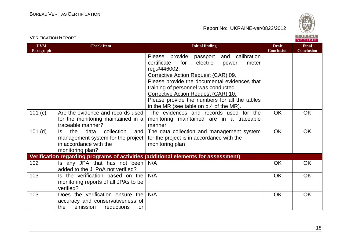

VERIFICATION REPORT

| <b>DVM</b><br>Paragraph | <b>Check Item</b>                                                                                                          | <b>Initial finding</b>                                                                                                                                                                                                                                                                                                                                                             | <b>Draft</b><br><b>Conclusion</b> | <b>Final</b><br><b>Conclusion</b> |
|-------------------------|----------------------------------------------------------------------------------------------------------------------------|------------------------------------------------------------------------------------------------------------------------------------------------------------------------------------------------------------------------------------------------------------------------------------------------------------------------------------------------------------------------------------|-----------------------------------|-----------------------------------|
|                         |                                                                                                                            | Please provide<br>and calibration<br>passport<br>certificate<br>for<br>electric<br>meter<br>power<br>reg.#446002.<br>Corrective Action Request (CAR) 09.<br>Please provide the documental evidences that<br>training of personnel was conducted<br>Corrective Action Request (CAR) 10.<br>Please provide the numbers for all the tables<br>in the MR (see table on p.4 of the MR). |                                   |                                   |
| 101 (c)                 | Are the evidence and records used<br>for the monitoring maintained in a<br>traceable manner?                               | The evidences and records used for the<br>monitoring maintained are in a traceable<br>manner                                                                                                                                                                                                                                                                                       | <b>OK</b>                         | <b>OK</b>                         |
| $101$ (d)               | collection<br>the<br>data<br>and<br>ls.<br>management system for the project<br>in accordance with the<br>monitoring plan? | The data collection and management system<br>for the project is in accordance with the<br>monitoring plan                                                                                                                                                                                                                                                                          | <b>OK</b>                         | OK                                |
|                         |                                                                                                                            | Verification regarding programs of activities (additional elements for assessment)                                                                                                                                                                                                                                                                                                 |                                   |                                   |
| 102                     | Is any JPA that has not been<br>added to the JI PoA not verified?                                                          | N/A                                                                                                                                                                                                                                                                                                                                                                                | <b>OK</b>                         | <b>OK</b>                         |
| 103                     | Is the verification based on the<br>monitoring reports of all JPAs to be<br>verified?                                      | N/A                                                                                                                                                                                                                                                                                                                                                                                | <b>OK</b>                         | <b>OK</b>                         |
| 103                     | Does the verification ensure the<br>accuracy and conservativeness of<br>emission<br>reductions<br>the<br><b>or</b>         | N/A                                                                                                                                                                                                                                                                                                                                                                                | <b>OK</b>                         | <b>OK</b>                         |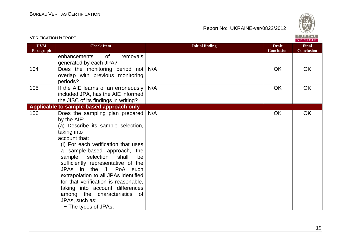

| <b>VERIFICATION REPORT</b> |                                                                                                                                                                                                                                                                                                                                                                                                                                                                                                 |                        |                                   | BUREAU<br><b>VERITAS</b>          |
|----------------------------|-------------------------------------------------------------------------------------------------------------------------------------------------------------------------------------------------------------------------------------------------------------------------------------------------------------------------------------------------------------------------------------------------------------------------------------------------------------------------------------------------|------------------------|-----------------------------------|-----------------------------------|
| <b>DVM</b><br>Paragraph    | <b>Check Item</b>                                                                                                                                                                                                                                                                                                                                                                                                                                                                               | <b>Initial finding</b> | <b>Draft</b><br><b>Conclusion</b> | <b>Final</b><br><b>Conclusion</b> |
|                            | enhancements<br>removals<br>0f<br>generated by each JPA?                                                                                                                                                                                                                                                                                                                                                                                                                                        |                        |                                   |                                   |
| 104                        | Does the monitoring period not<br>overlap with previous monitoring<br>periods?                                                                                                                                                                                                                                                                                                                                                                                                                  | N/A                    | <b>OK</b>                         | OK                                |
| 105                        | If the AIE learns of an erroneously<br>included JPA, has the AIE informed<br>the JISC of its findings in writing?                                                                                                                                                                                                                                                                                                                                                                               | N/A                    | OK                                | OK                                |
|                            | Applicable to sample-based approach only                                                                                                                                                                                                                                                                                                                                                                                                                                                        |                        |                                   |                                   |
| 106                        | Does the sampling plan prepared<br>by the AIE:<br>(a) Describe its sample selection,<br>taking into<br>account that:<br>(i) For each verification that uses<br>a sample-based approach, the<br>shall<br>sample<br>selection<br>be<br>sufficiently representative of the<br>JPAs in the JI PoA such<br>extrapolation to all JPAs identified<br>for that verification is reasonable,<br>taking into account differences<br>among the characteristics of<br>JPAs, such as:<br>- The types of JPAs; | N/A                    | OK                                | <b>OK</b>                         |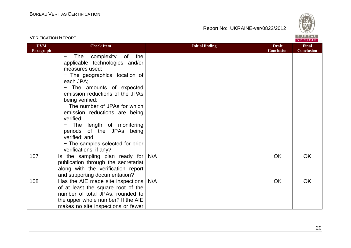



|                         |                                                                                                                                                                                                                                                                                                                                                                                                                                               |                                                             | <b>VERITAS</b>                    |
|-------------------------|-----------------------------------------------------------------------------------------------------------------------------------------------------------------------------------------------------------------------------------------------------------------------------------------------------------------------------------------------------------------------------------------------------------------------------------------------|-------------------------------------------------------------|-----------------------------------|
| <b>DVM</b><br>Paragraph | <b>Check Item</b>                                                                                                                                                                                                                                                                                                                                                                                                                             | <b>Initial finding</b><br><b>Draft</b><br><b>Conclusion</b> | <b>Final</b><br><b>Conclusion</b> |
|                         | The complexity of<br>the<br>-<br>applicable technologies and/or<br>measures used;<br>- The geographical location of<br>each JPA;<br>- The amounts of expected<br>emission reductions of the JPAs<br>being verified;<br>- The number of JPAs for which<br>emission reductions are being<br>verified;<br>- The length of monitoring<br>periods of the JPAs being<br>verified; and<br>- The samples selected for prior<br>verifications, if any? |                                                             |                                   |
| 107                     | Is the sampling plan ready for<br>publication through the secretariat<br>along with the verification report<br>and supporting documentation?                                                                                                                                                                                                                                                                                                  | N/A<br><b>OK</b>                                            | <b>OK</b>                         |
| 108                     | Has the AIE made site inspections<br>of at least the square root of the<br>number of total JPAs, rounded to<br>the upper whole number? If the AIE<br>makes no site inspections or fewer                                                                                                                                                                                                                                                       | N/A<br><b>OK</b>                                            | <b>OK</b>                         |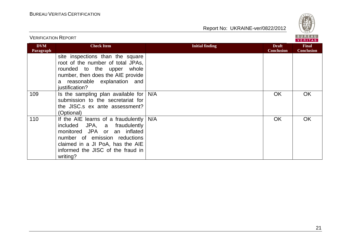

| <b>VERIFICATION REPORT</b> |                                                                                                                                                                                                                           | <b>BUREAU</b><br><b>VERITAS</b> |                                   |                                   |  |  |
|----------------------------|---------------------------------------------------------------------------------------------------------------------------------------------------------------------------------------------------------------------------|---------------------------------|-----------------------------------|-----------------------------------|--|--|
| <b>DVM</b><br>Paragraph    | <b>Check Item</b>                                                                                                                                                                                                         | <b>Initial finding</b>          | <b>Draft</b><br><b>Conclusion</b> | <b>Final</b><br><b>Conclusion</b> |  |  |
|                            | site inspections than the square<br>root of the number of total JPAs,<br>rounded to the upper<br>whole<br>number, then does the AIE provide<br>a reasonable explanation and<br>justification?                             |                                 |                                   |                                   |  |  |
| 109                        | Is the sampling plan available for<br>submission to the secretariat for<br>the JISC.s ex ante assessment?<br>(Optional)                                                                                                   | N/A                             | OK                                | OK                                |  |  |
| 110                        | If the AIE learns of a fraudulently<br>included JPA, a fraudulently<br>monitored JPA or an inflated<br>number of emission reductions<br>claimed in a JI PoA, has the AIE<br>informed the JISC of the fraud in<br>writing? | N/A                             | OK                                | <b>OK</b>                         |  |  |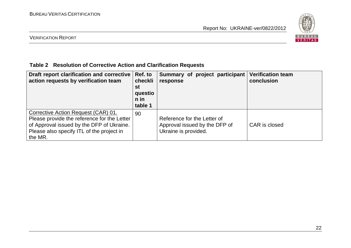

#### VERIFICATION REPORT

### **Table 2 Resolution of Corrective Action and Clarification Requests**

| Draft report clarification and corrective<br>action requests by verification team                                                                                                       | Ref. to<br>checkli<br>st<br>questio<br>n in<br>table 1 | Summary of project participant<br>response                                           | <b>Verification team</b><br>conclusion |
|-----------------------------------------------------------------------------------------------------------------------------------------------------------------------------------------|--------------------------------------------------------|--------------------------------------------------------------------------------------|----------------------------------------|
| Corrective Action Request (CAR) 01.<br>Please provide the reference for the Letter<br>of Approval issued by the DFP of Ukraine.<br>Please also specify ITL of the project in<br>the MR. | 90                                                     | Reference for the Letter of<br>Approval issued by the DFP of<br>Ukraine is provided. | CAR is closed                          |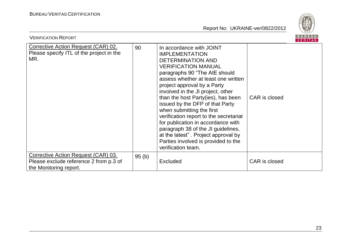

| <b>VERIFICATION REPORT</b>                                                                              |       |                                                                                                                                                                                                                                                                                                                                                                                                                                                                                                                                                                                  |               | B U R E A U<br>VERITAS |
|---------------------------------------------------------------------------------------------------------|-------|----------------------------------------------------------------------------------------------------------------------------------------------------------------------------------------------------------------------------------------------------------------------------------------------------------------------------------------------------------------------------------------------------------------------------------------------------------------------------------------------------------------------------------------------------------------------------------|---------------|------------------------|
| Corrective Action Request (CAR) 02.<br>Please specify ITL of the project in the<br>MR.                  | 90    | In accordance with JOINT<br><b>IMPLEMENTATION</b><br>DETERMINATION AND<br><b>VERIFICATION MANUAL</b><br>paragraphs 90 "The AIE should<br>assess whether at least one written<br>project approval by a Party<br>involved in the JI project, other<br>than the host Party(ies), has been<br>issued by the DFP of that Party<br>when submitting the first<br>verification report to the secretariat<br>for publication in accordance with<br>paragraph 38 of the JI guidelines,<br>at the latest". Project approval by<br>Parties involved is provided to the<br>verification team. | CAR is closed |                        |
| Corrective Action Request (CAR) 03.<br>Please exclude reference 2 from p.3 of<br>the Monitoring report. | 95(b) | Excluded                                                                                                                                                                                                                                                                                                                                                                                                                                                                                                                                                                         | CAR is closed |                        |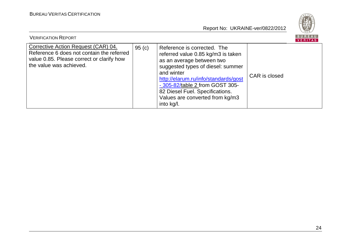

| <b>VERIFICATION REPORT</b>                                                                                                                               |       |                                                                                                                                                                                                                                                                                                                  |               | <b>BUREAU</b><br>VERITAS |
|----------------------------------------------------------------------------------------------------------------------------------------------------------|-------|------------------------------------------------------------------------------------------------------------------------------------------------------------------------------------------------------------------------------------------------------------------------------------------------------------------|---------------|--------------------------|
| Corrective Action Request (CAR) 04.<br>Reference 6 does not contain the referred<br>value 0.85. Please correct or clarify how<br>the value was achieved. | 95(c) | Reference is corrected. The<br>referred value 0.85 kg/m3 is taken<br>as an average between two<br>suggested types of diesel: summer<br>and winter<br>http://elarum.ru/info/standards/gost<br>- 305-82/table 2 from GOST 305-<br>82 Diesel Fuel. Specifications.<br>Values are converted from kg/m3<br>into kg/l. | CAR is closed |                          |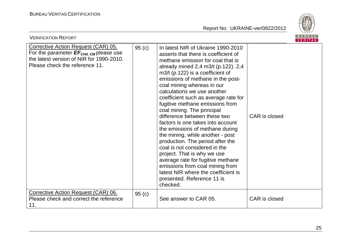



| <b>VERIFICATION REPORT</b>                                                                                                                                              |       |                                                                                                                                                                                                                                                                                                                                                                                                                                                                                                                                                                                                                                                                                                                                                                                                                  |               | <b>BUREAU</b><br><b>VERITAS</b> |
|-------------------------------------------------------------------------------------------------------------------------------------------------------------------------|-------|------------------------------------------------------------------------------------------------------------------------------------------------------------------------------------------------------------------------------------------------------------------------------------------------------------------------------------------------------------------------------------------------------------------------------------------------------------------------------------------------------------------------------------------------------------------------------------------------------------------------------------------------------------------------------------------------------------------------------------------------------------------------------------------------------------------|---------------|---------------------------------|
| Corrective Action Request (CAR) 05.<br>For the parameter $EF_{CH4, \text{CM}}$ please use<br>the latest version of NIR for 1990-2010.<br>Please check the reference 11. | 95(c) | In latest NIR of Ukraine 1990-2010<br>asserts that there is coefficient of<br>methane emission for coal that is<br>already mined 2,4 m3/t (p.122). 2,4<br>$m3/t$ (p.122) is a coefficient of<br>emissions of methane in the post-<br>coal mining whereas in our<br>calculations we use another<br>coefficient such as average rate for<br>fugitive methane emissions from<br>coal mining. The principal<br>difference between these two<br>factors is one takes into account<br>the emissions of methane during<br>the mining, while another - post<br>production. The period after the<br>coal is not considered in the<br>project. That is why we use<br>average rate for fugitive methane<br>emissions from coal mining from<br>latest NIR where the coefficient is<br>presented. Reference 11 is<br>checked. | CAR is closed |                                 |
| Corrective Action Request (CAR) 06.<br>Please check and correct the reference<br>11.                                                                                    | 95(c) | See answer to CAR 05.                                                                                                                                                                                                                                                                                                                                                                                                                                                                                                                                                                                                                                                                                                                                                                                            | CAR is closed |                                 |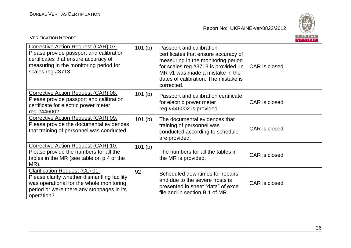

| <b>VERIFICATION REPORT</b>                                                                                                                                                            |        |                                                                                                                                                                                                                                         |               | <b>BUREAU</b><br>VERITAS |
|---------------------------------------------------------------------------------------------------------------------------------------------------------------------------------------|--------|-----------------------------------------------------------------------------------------------------------------------------------------------------------------------------------------------------------------------------------------|---------------|--------------------------|
| Corrective Action Request (CAR) 07.<br>Please provide passport and calibration<br>certificates that ensure accuracy of<br>measuring in the monitoring period for<br>scales reg.#3713. | 101(b) | Passport and calibration<br>certificates that ensure accuracy of<br>measuring in the monitoring period<br>for scales reg.#3713 is provided. In<br>MR v1 was made a mistake in the<br>dates of calibration. The mistake is<br>corrected. | CAR is closed |                          |
| Corrective Action Request (CAR) 08.<br>Please provide passport and calibration<br>certificate for electric power meter<br>reg.#446002.                                                | 101(b) | Passport and calibration certificate<br>for electric power meter<br>reg.#446002 is provided.                                                                                                                                            | CAR is closed |                          |
| Corrective Action Request (CAR) 09.<br>Please provide the documental evidences<br>that training of personnel was conducted.                                                           | 101(b) | The documental evidences that<br>training of personnel was<br>conducted according to schedule<br>are provided.                                                                                                                          | CAR is closed |                          |
| Corrective Action Request (CAR) 10.<br>Please provide the numbers for all the<br>tables in the MR (see table on p.4 of the<br>MR).                                                    | 101(b) | The numbers for all the tables in<br>the MR is provided.                                                                                                                                                                                | CAR is closed |                          |
| Clarification Request (CL) 01.<br>Please clarify whether dismantling facility<br>was operational for the whole monitoring<br>period or were there any stoppages in its<br>operation?  | 92     | Scheduled downtimes for repairs<br>and due to the severe frosts is<br>presented in sheet "data" of excel<br>file and in section B.1 of MR.                                                                                              | CAR is closed |                          |